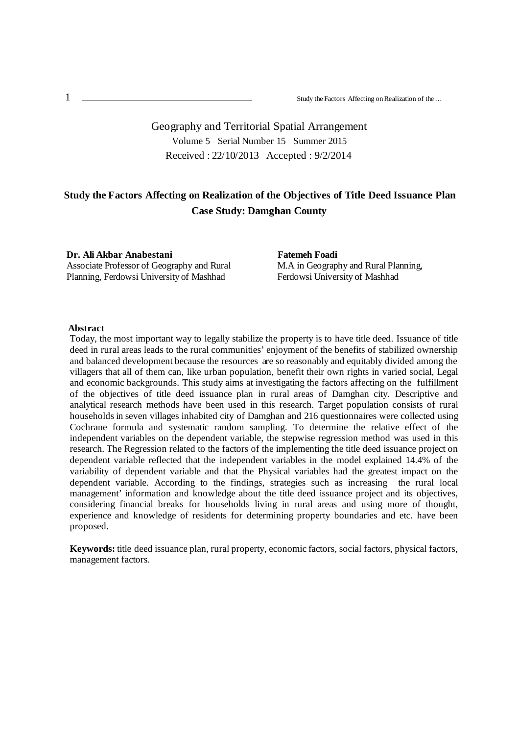# Geography and Territorial Spatial Arrangement Volume 5 Serial Number 15 Summer 2015 Received : 22/10/2013 Accepted : 9/2/2014

# **Study the Factors Affecting on Realization of the Objectives of Title Deed Issuance Plan Case Study: Damghan County**

**Dr. Ali Akbar Anabestani** Associate Professor of Geography and Rural Planning, Ferdowsi University of Mashhad

**Fatemeh Foadi** M.A in Geography and Rural Planning, Ferdowsi University of Mashhad

### **Abstract**

Today, the most important way to legally stabilize the property is to have title deed. Issuance of title deed in rural areas leads to the rural communities' enjoyment of the benefits of stabilized ownership and balanced development because the resources are so reasonably and equitably divided among the villagers that all of them can, like urban population, benefit their own rights in varied social, Legal and economic backgrounds. This study aims at investigating the factors affecting on the fulfillment of the objectives of title deed issuance plan in rural areas of Damghan city. Descriptive and analytical research methods have been used in this research. Target population consists of rural households in seven villages inhabited city of Damghan and 216 questionnaires were collected using Cochrane formula and systematic random sampling. To determine the relative effect of the independent variables on the dependent variable, the stepwise regression method was used in this research. The Regression related to the factors of the implementing the title deed issuance project on dependent variable reflected that the independent variables in the model explained 14.4% of the variability of dependent variable and that the Physical variables had the greatest impact on the dependent variable. According to the findings, strategies such as increasing the rural local management' information and knowledge about the title deed issuance project and its objectives, considering financial breaks for households living in rural areas and using more of thought, experience and knowledge of residents for determining property boundaries and etc. have been proposed.

**Keywords:** title deed issuance plan, rural property, economic factors, social factors, physical factors, management factors.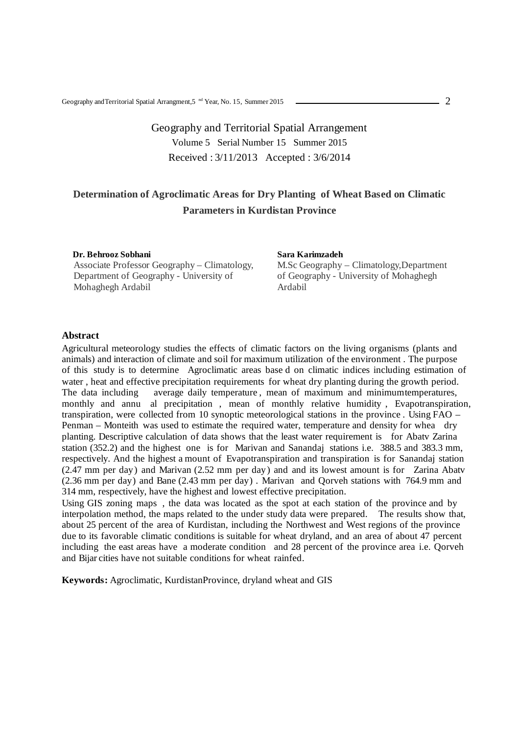# Geography and Territorial Spatial Arrangement Volume 5 Serial Number 15 Summer 2015 Received : 3/11/2013 Accepted : 3/6/2014

# **Determination of Agroclimatic Areas for Dry Planting of Wheat Based on Climatic Parameters in Kurdistan Province**

**Dr. Behrooz Sobhani** Associate Professor Geography – Climatology, Department of Geography - University of Mohaghegh Ardabil

#### **Sara Karimzadeh**

M.Sc Geography – Climatology,Department of Geography - University of Mohaghegh Ardabil

#### **Abstract**

Agricultural meteorology studies the effects of climatic factors on the living organisms (plants and animals) and interaction of climate and soil for maximum utilization of the environment . The purpose of this study is to determine Agroclimatic areas base d on climatic indices including estimation of water, heat and effective precipitation requirements for wheat dry planting during the growth period.<br>The data including average daily temperature, mean of maximum and minimumtemperatures, average daily temperature, mean of maximum and minimumtemperatures, monthly and annu al precipitation , mean of monthly relative humidity , Evapotranspiration, transpiration, were collected from 10 synoptic meteorological stations in the province . Using FAO – Penman – Monteith was used to estimate the required water, temperature and density for whea dry planting. Descriptive calculation of data shows that the least water requirement is for Abatv Zarina station (352.2) and the highest one is for Marivan and Sanandaj stations i.e. 388.5 and 383.3 mm, respectively. And the highest a mount of Evapotranspiration and transpiration is for Sanandaj station (2.47 mm per day) and Marivan (2.52 mm per day) and and its lowest amount is for Zarina Abatv (2.36 mm per day) and Bane (2.43 mm per day) . Marivan and Qorveh stations with 764.9 mm and 314 mm, respectively, have the highest and lowest effective precipitation.

Using GIS zoning maps , the data was located as the spot at each station of the province and by interpolation method, the maps related to the under study data were prepared. The results show that, about 25 percent of the area of Kurdistan, including the Northwest and West regions of the province due to its favorable climatic conditions is suitable for wheat dryland, and an area of about 47 percent including the east areas have a moderate condition and 28 percent of the province area i.e. Qorveh and Bijar cities have not suitable conditions for wheat rainfed.

**Keywords:** Agroclimatic, KurdistanProvince, dryland wheat and GIS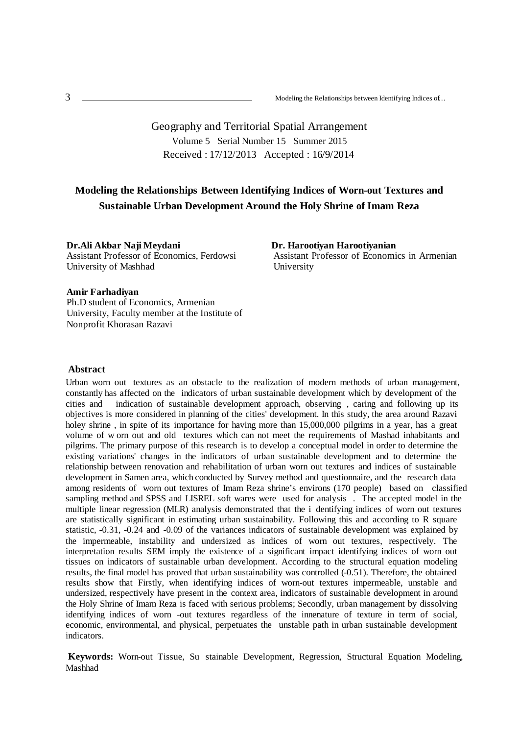# Geography and Territorial Spatial Arrangement Volume 5 Serial Number 15 Summer 2015 Received : 17/12/2013 Accepted : 16/9/2014

# **Modeling the Relationships Between Identifying Indices of Worn-out Textures and Sustainable Urban Development Around the Holy Shrine of Imam Reza**

**Dr.Ali Akbar Naji Meydani** Assistant Professor of Economics, Ferdowsi University of Mashhad

**Dr. Harootiyan Harootiyanian** Assistant Professor of Economics in Armenian University

#### **Amir Farhadiyan**

Ph.D student of Economics, Armenian University, Faculty member at the Institute of Nonprofit Khorasan Razavi

### **Abstract**

Urban worn out textures as an obstacle to the realization of modern methods of urban management, constantly has affected on the indicators of urban sustainable development which by development of the cities and indication of sustainable development approach, observing, caring and following up its indication of sustainable development approach, observing , caring and following up its objectives is more considered in planning of the cities' development. In this study, the area around Razavi holey shrine, in spite of its importance for having more than 15,000,000 pilgrims in a year, has a great volume of w orn out and old textures which can not meet the requirements of Mashad inhabitants and pilgrims. The primary purpose of this research is to develop a conceptual model in order to determine the existing variations' changes in the indicators of urban sustainable development and to determine the relationship between renovation and rehabilitation of urban worn out textures and indices of sustainable development in Samen area, which conducted by Survey method and questionnaire, and the research data among residents of worn out textures of Imam Reza shrine's environs (170 people) based on classified sampling method and SPSS and LISREL soft wares were used for analysis . The accepted model in the multiple linear regression (MLR) analysis demonstrated that the i dentifying indices of worn out textures are statistically significant in estimating urban sustainability. Following this and according to R square statistic, -0.31, -0.24 and -0.09 of the variances indicators of sustainable development was explained by the impermeable, instability and undersized as indices of worn out textures, respectively. The interpretation results SEM imply the existence of a significant impact identifying indices of worn out tissues on indicators of sustainable urban development. According to the structural equation modeling results, the final model has proved that urban sustainability was controlled (-0.51). Therefore, the obtained results show that Firstly, when identifying indices of worn-out textures impermeable, unstable and undersized, respectively have present in the context area, indicators of sustainable development in around the Holy Shrine of Imam Reza is faced with serious problems; Secondly, urban management by dissolving identifying indices of worn -out textures regardless of the innenature of texture in term of social, economic, environmental, and physical, perpetuates the unstable path in urban sustainable development indicators.

**Keywords:** Worn-out Tissue, Su stainable Development, Regression, Structural Equation Modeling, Mashhad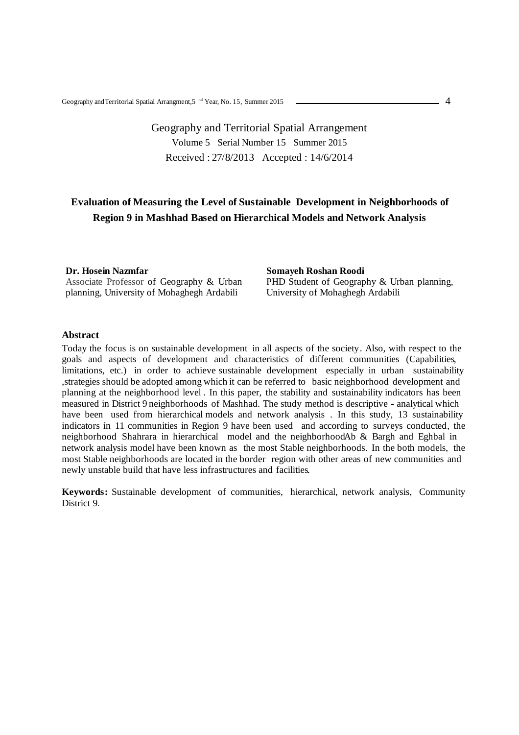# Geography and Territorial Spatial Arrangement Volume 5 Serial Number 15 Summer 2015 Received : 27/8/2013 Accepted : 14/6/2014

# **Evaluation of Measuring the Level of Sustainable Development in Neighborhoods of Region 9 in Mashhad Based on Hierarchical Models and Network Analysis**

**Dr. Hosein Nazmfar** Associate Professor of Geography & Urban planning, University of Mohaghegh Ardabili

**Somayeh Roshan Roodi**  PHD Student of Geography & Urban planning, University of Mohaghegh Ardabili

### **Abstract**

Today the focus is on sustainable development in all aspects of the society. Also, with respect to the goals and aspects of development and characteristics of different communities (Capabilities, limitations, etc.) in order to achieve sustainable development especially in urban sustainability ,strategies should be adopted among which it can be referred to basic neighborhood development and planning at the neighborhood level . In this paper, the stability and sustainability indicators has been measured in District 9 neighborhoods of Mashhad. The study method is descriptive - analytical which have been used from hierarchical models and network analysis . In this study, 13 sustainability indicators in 11 communities in Region 9 have been used and according to surveys conducted, the neighborhood Shahrara in hierarchical model and the neighborhoodAb & Bargh and Eghbal in network analysis model have been known as the most Stable neighborhoods. In the both models, the most Stable neighborhoods are located in the border region with other areas of new communities and newly unstable build that have less infrastructures and facilities.

**Keywords:** Sustainable development of communities, hierarchical, network analysis, Community District 9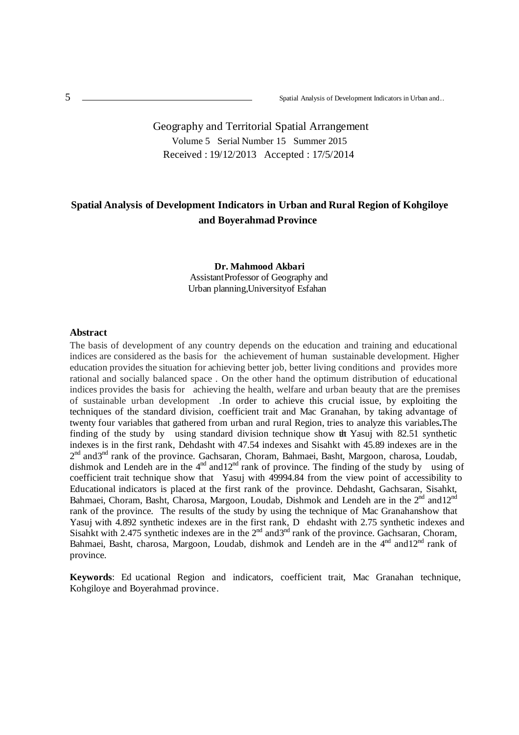# Geography and Territorial Spatial Arrangement Volume 5 Serial Number 15 Summer 2015 Received : 19/12/2013 Accepted : 17/5/2014

# **Spatial Analysis of Development Indicators in Urban and Rural Region of Kohgiloye and Boyerahmad Province**

### **Dr. Mahmood Akbari** AssistantProfessor of Geography and Urban planning, Universityof Esfahan

#### **Abstract**

The basis of development of any country depends on the education and training and educational indices are considered as the basis for the achievement of human sustainable development. Higher education provides the situation for achieving better job, better living conditions and provides more rational and socially balanced space . On the other hand the optimum distribution of educational indices provides the basis for achieving the health, welfare and urban beauty that are the premises of sustainable urban development . In order to achieve this crucial issue, by exploiting the techniques of the standard division, coefficient trait and Mac Granahan, by taking advantage of twenty four variables that gathered from urban and rural Region, tries to analyze this variables**.**The finding of the study by using standard division technique show the Yasuj with 82.51 synthetic indexes is in the first rank, Dehdasht with 47.54 indexes and Sisahkt with 45.89 indexes are in the 2<sup>nd</sup> and3<sup>nd</sup> rank of the province. Gachsaran, Choram, Bahmaei, Basht, Margoon, charosa, Loudab, dishmok and Lendeh are in the  $4^{nd}$  and  $12^{nd}$  rank of province. The finding of the study by using of coefficient trait technique show that Yasuj with 49994.84 from the view point of accessibility to Educational indicators is placed at the first rank of the province. Dehdasht, Gachsaran, Sisahkt, Bahmaei, Choram, Basht, Charosa, Margoon, Loudab, Dishmok and Lendeh are in the 2<sup>nd</sup> and12<sup>nd</sup> rank of the province. The results of the study by using the technique of Mac Granahan show that Yasuj with 4.892 synthetic indexes are in the first rank, D ehdasht with 2.75 synthetic indexes and Sisahkt with 2.475 synthetic indexes are in the  $2<sup>nd</sup>$  and $3<sup>nd</sup>$  rank of the province. Gachsaran, Choram, Bahmaei, Basht, charosa, Margoon, Loudab, dishmok and Lendeh are in the  $4^{nd}$  and  $12^{nd}$  rank of province.

**Keywords**: Ed ucational Region and indicators, coefficient trait, Mac Granahan technique, Kohgiloye and Boyerahmad province.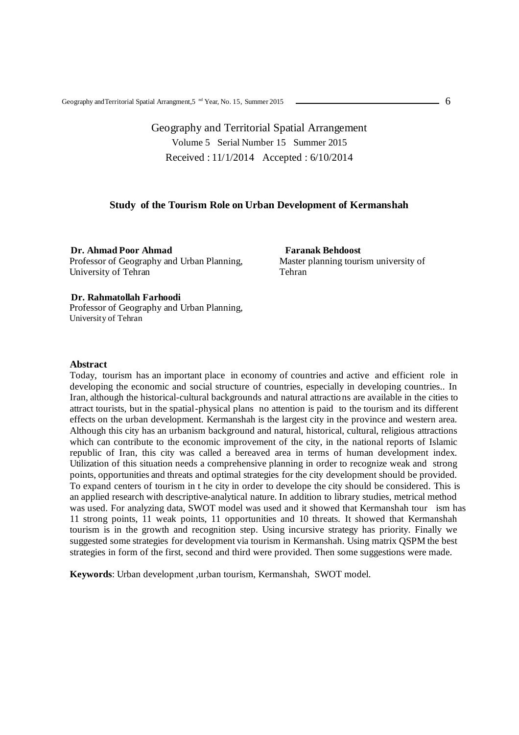# Geography and Territorial Spatial Arrangement Volume 5 Serial Number 15 Summer 2015 Received : 11/1/2014 Accepted : 6/10/2014

### **Study of the Tourism Role on Urban Development of Kermanshah**

**Dr. Ahmad Poor Ahmad** Professor of Geography and Urban Planning, University of Tehran

**Faranak Behdoost** Master planning tourism university of Tehran

#### **Dr. Rahmatollah Farhoodi**

Professor of Geography and Urban Planning, University of Tehran

#### **Abstract**

Today, tourism has an important place in economy of countries and active and efficient role in developing the economic and social structure of countries, especially in developing countries.. In Iran, although the historical-cultural backgrounds and natural attractions are available in the cities to attract tourists, but in the spatial-physical plans no attention is paid to the tourism and its different effects on the urban development. Kermanshah is the largest city in the province and western area. Although this city has an urbanism background and natural, historical, cultural, religious attractions which can contribute to the economic improvement of the city, in the national reports of Islamic republic of Iran, this city was called a bereaved area in terms of human development index. Utilization of this situation needs a comprehensive planning in order to recognize weak and strong points, opportunities and threats and optimal strategies for the city development should be provided. To expand centers of tourism in t he city in order to develope the city should be considered. This is an applied research with descriptive-analytical nature. In addition to library studies, metrical method was used. For analyzing data, SWOT model was used and it showed that Kermanshah tour ism has 11 strong points, 11 weak points, 11 opportunities and 10 threats. It showed that Kermanshah tourism is in the growth and recognition step. Using incursive strategy has priority. Finally we suggested some strategies for development via tourism in Kermanshah. Using matrix QSPM the best strategies in form of the first, second and third were provided. Then some suggestions were made.

**Keywords**: Urban development ,urban tourism, Kermanshah, SWOT model.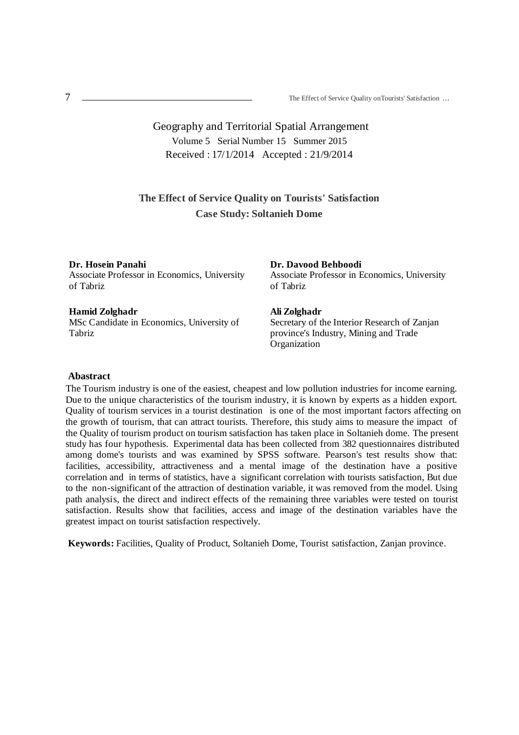# Geography and Territorial Spatial Arrangement Volume 5 Serial Number 15 Summer 2015 Received : 17/1/2014 Accepted : 21/9/2014

## **The Effect of Service Quality on Tourists' Satisfaction Case Study: Soltanieh Dome**

#### **Dr. Hosein Panahi**

Associate Professor in Economics, University of Tabriz

### **Hamid Zolghadr**

MSc Candidate in Economics, University of Tabriz

#### **Dr. Davood Behboodi**

Associate Professor in Economics, University of Tabriz

### **Ali Zolghadr**

Secretary of the Interior Research of Zanjan province's Industry, Mining and Trade Organization

### **Abastract**

The Tourism industry is one of the easiest, cheapest and low pollution industries for income earning. Due to the unique characteristics of the tourism industry, it is known by experts as a hidden export. Quality of tourism services in a tourist destination is one of the most important factors affecting on the growth of tourism, that can attract tourists. Therefore, this study aims to measure the impact of the Quality of tourism product on tourism satisfaction has taken place in Soltanieh dome. The present study has four hypothesis. Experimental data has been collected from 382 questionnaires distributed among dome's tourists and was examined by SPSS software. Pearson's test results show that: facilities, accessibility, attractiveness and a mental image of the destination have a positive correlation and in terms of statistics, have a significant correlation with tourists satisfaction, But due to the non-significant of the attraction of destination variable, it was removed from the model. Using path analysis, the direct and indirect effects of the remaining three variables were tested on tourist satisfaction. Results show that facilities, access and image of the destination variables have the greatest impact on tourist satisfaction respectively.

**Keywords:** Facilities, Quality of Product, Soltanieh Dome, Tourist satisfaction, Zanjan province.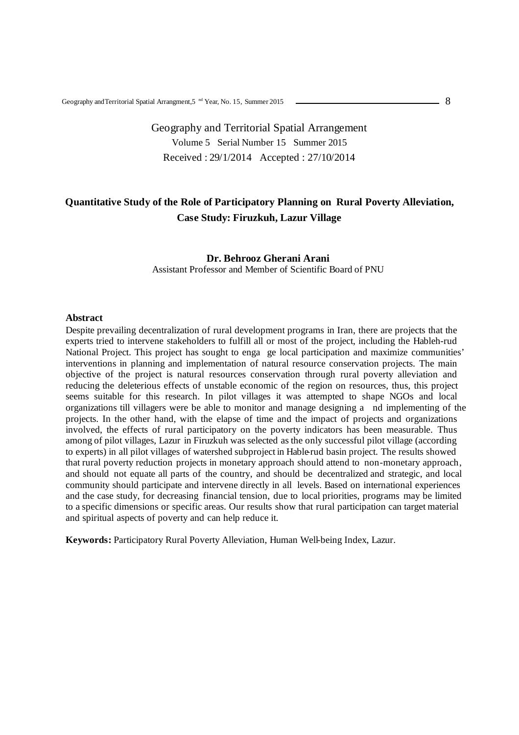# Geography and Territorial Spatial Arrangement Volume 5 Serial Number 15 Summer 2015 Received : 29/1/2014 Accepted : 27/10/2014

# **Quantitative Study of the Role of Participatory Planning on Rural Poverty Alleviation, Case Study: Firuzkuh, Lazur Village**

### **Dr. Behrooz Gherani Arani**

Assistant Professor and Member of Scientific Board of PNU

#### **Abstract**

Despite prevailing decentralization of rural development programs in Iran, there are projects that the experts tried to intervene stakeholders to fulfill all or most of the project, including the Hableh-rud National Project. This project has sought to enga ge local participation and maximize communities' interventions in planning and implementation of natural resource conservation projects. The main objective of the project is natural resources conservation through rural poverty alleviation and reducing the deleterious effects of unstable economic of the region on resources, thus, this project seems suitable for this research. In pilot villages it was attempted to shape NGOs and local organizations till villagers were be able to monitor and manage designing a nd implementing of the projects. In the other hand, with the elapse of time and the impact of projects and organizations involved, the effects of rural participatory on the poverty indicators has been measurable. Thus among of pilot villages, Lazur in Firuzkuh was selected as the only successful pilot village (according to experts) in all pilot villages of watershed subproject in Hable-rud basin project. The results showed that rural poverty reduction projects in monetary approach should attend to non-monetary approach, and should not equate all parts of the country, and should be decentralized and strategic, and local community should participate and intervene directly in all levels. Based on international experiences and the case study, for decreasing financial tension, due to local priorities, programs may be limited to a specific dimensions or specific areas. Our results show that rural participation can target material and spiritual aspects of poverty and can help reduce it.

**Keywords:** Participatory Rural Poverty Alleviation, Human Well-being Index, Lazur.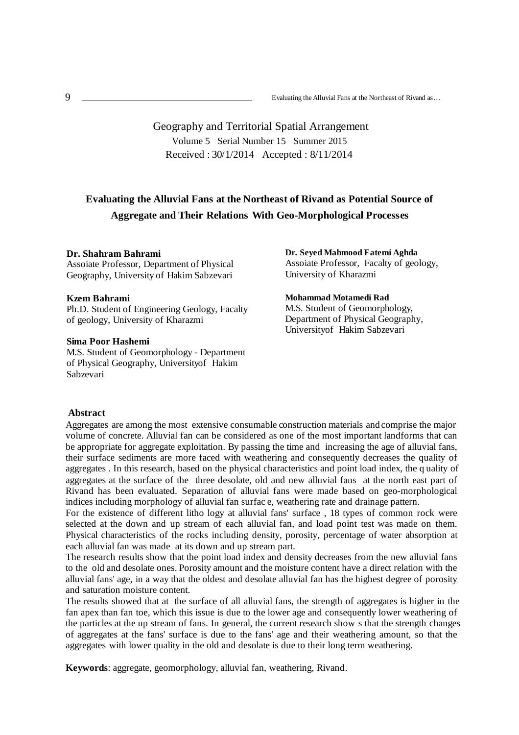Evaluating the Alluvial Fans at the Northeast of Rivand as…

# Geography and Territorial Spatial Arrangement Volume 5 Serial Number 15 Summer 2015 Received : 30/1/2014 Accepted : 8/11/2014

# **Evaluating the Alluvial Fans at the Northeast of Rivand as Potential Source of Aggregate and Their Relations With Geo-Morphological Processes**

### **1- Dr. Shahram Bahrami**

Assoiate Professor, Department of Physical Geography, University of Hakim Sabzevari

### **3- Kzem Bahrami**

Ph.D. Student of Engineering Geology, Facalty of geology, University of Kharazmi

### **4- Sima Poor Hashemi**

5- M.S. Student of Geomorphology - Department of Physical Geography, Universityof Hakim Sabzevari

### **Dr. Seyed Mahmood Fatemi Aghda** Assoiate Professor, Facalty of geology, University of Kharazmi

### **Mohammad Motamedi Rad**

M.S. Student of Geomorphology, Department of Physical Geography, Universityof Hakim Sabzevari

### **Abstract**

Aggregates are among the most extensive consumable construction materials and comprise the major volume of concrete. Alluvial fan can be considered as one of the most important landforms that can be appropriate for aggregate exploitation. By passing the time and increasing the age of alluvial fans, their surface sediments are more faced with weathering and consequently decreases the quality of aggregates . In this research, based on the physical characteristics and point load index, the q uality of aggregates at the surface of the three desolate, old and new alluvial fans at the north east part of Rivand has been evaluated. Separation of alluvial fans were made based on geo-morphological indices including morphology of alluvial fan surfac e, weathering rate and drainage pattern.

For the existence of different litho logy at alluvial fans' surface , 18 types of common rock were selected at the down and up stream of each alluvial fan, and load point test was made on them. Physical characteristics of the rocks including density, porosity, percentage of water absorption at each alluvial fan was made at its down and up stream part.

The research results show that the point load index and density decreases from the new alluvial fans to the old and desolate ones. Porosity amount and the moisture content have a direct relation with the alluvial fans' age, in a way that the oldest and desolate alluvial fan has the highest degree of porosity and saturation moisture content.

The results showed that at the surface of all alluvial fans, the strength of aggregates is higher in the fan apex than fan toe, which this issue is due to the lower age and consequently lower weathering of the particles at the up stream of fans. In general, the current research show s that the strength changes of aggregates at the fans' surface is due to the fans' age and their weathering amount, so that the aggregates with lower quality in the old and desolate is due to their long term weathering.

**Keywords**: aggregate, geomorphology, alluvial fan, weathering, Rivand.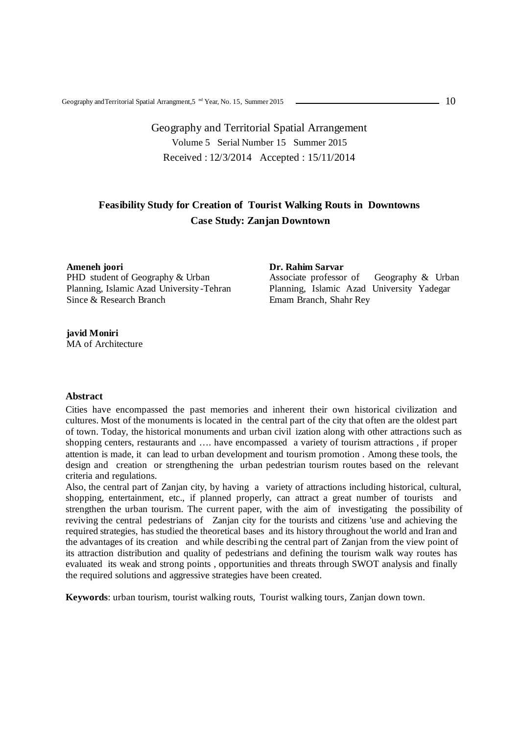# Geography and Territorial Spatial Arrangement Volume 5 Serial Number 15 Summer 2015 Received : 12/3/2014 Accepted : 15/11/2014

# **Feasibility Study for Creation of Tourist Walking Routs in Downtowns Case Study: Zanjan Downtown**

**Ameneh joori** PHD student of Geography & Urban Planning, Islamic Azad University -Tehran Since & Research Branch

#### **Dr. Rahim Sarvar**

Associate professor of Geography & Urban Planning, Islamic Azad University Yadegar Emam Branch, Shahr Rey

**javid Moniri** MA of Architecture

### **Abstract**

Cities have encompassed the past memories and inherent their own historical civilization and cultures. Most of the monuments is located in the central part of the city that often are the oldest part of town. Today, the historical monuments and urban civil ization along with other attractions such as shopping centers, restaurants and …. have encompassed a variety of tourism attractions , if proper attention is made, it can lead to urban development and tourism promotion . Among these tools, the design and creation or strengthening the urban pedestrian tourism routes based on the relevant criteria and regulations.

Also, the central part of Zanjan city, by having a variety of attractions including historical, cultural, shopping, entertainment, etc., if planned properly, can attract a great number of tourists and strengthen the urban tourism. The current paper, with the aim of investigating the possibility of reviving the central pedestrians of Zanjan city for the tourists and citizens 'use and achieving the required strategies, has studied the theoretical bases and its history throughout the world and Iran and the advantages of its creation and while describing the central part of Zanjan from the view point of its attraction distribution and quality of pedestrians and defining the tourism walk way routes has evaluated its weak and strong points , opportunities and threats through SWOT analysis and finally the required solutions and aggressive strategies have been created.

**Keywords**: urban tourism, tourist walking routs, Tourist walking tours, Zanjan down town.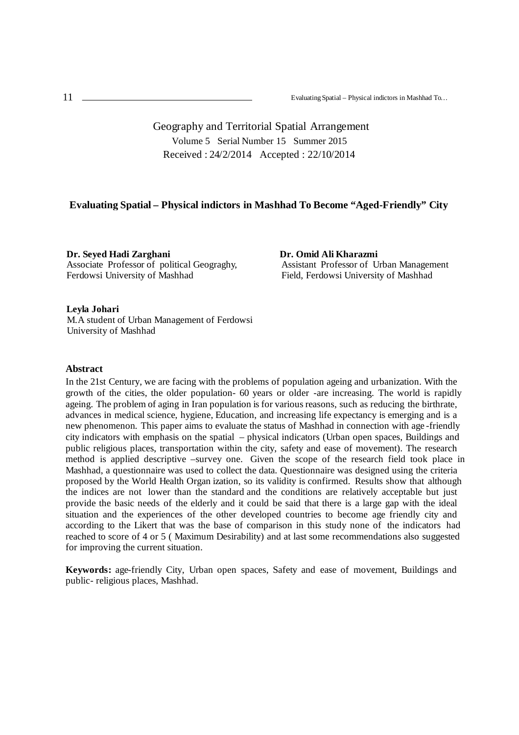Geography and Territorial Spatial Arrangement Volume 5 Serial Number 15 Summer 2015 Received : 24/2/2014 Accepted : 22/10/2014

### **Evaluating Spatial – Physical indictors in Mashhad To Become "Aged-Friendly" City**

**Dr. Seyed Hadi Zarghani** Associate Professor of political Geograghy, Ferdowsi University of Mashhad

**Dr. Omid Ali Kharazmi** Assistant Professor of Urban Management Field, Ferdowsi University of Mashhad

### **Leyla Johari**

M.A student of Urban Management of Ferdowsi University of Mashhad

#### **Abstract**

In the 21st Century, we are facing with the problems of population ageing and urbanization. With the growth of the cities, the older population- 60 years or older -are increasing. The world is rapidly ageing. The problem of aging in Iran population is for various reasons, such as reducing the birthrate, advances in medical science, hygiene, Education, and increasing life expectancy is emerging and is a new phenomenon. This paper aims to evaluate the status of Mashhad in connection with age -friendly city indicators with emphasis on the spatial – physical indicators (Urban open spaces, Buildings and public religious places, transportation within the city, safety and ease of movement). The research method is applied descriptive –survey one. Given the scope of the research field took place in Mashhad, a questionnaire was used to collect the data. Questionnaire was designed using the criteria proposed by the World Health Organ ization, so its validity is confirmed. Results show that although the indices are not lower than the standard and the conditions are relatively acceptable but just provide the basic needs of the elderly and it could be said that there is a large gap with the ideal situation and the experiences of the other developed countries to become age friendly city and according to the Likert that was the base of comparison in this study none of the indicators had reached to score of 4 or 5 ( Maximum Desirability) and at last some recommendations also suggested for improving the current situation.

**Keywords:** age-friendly City, Urban open spaces, Safety and ease of movement, Buildings and public- religious places, Mashhad.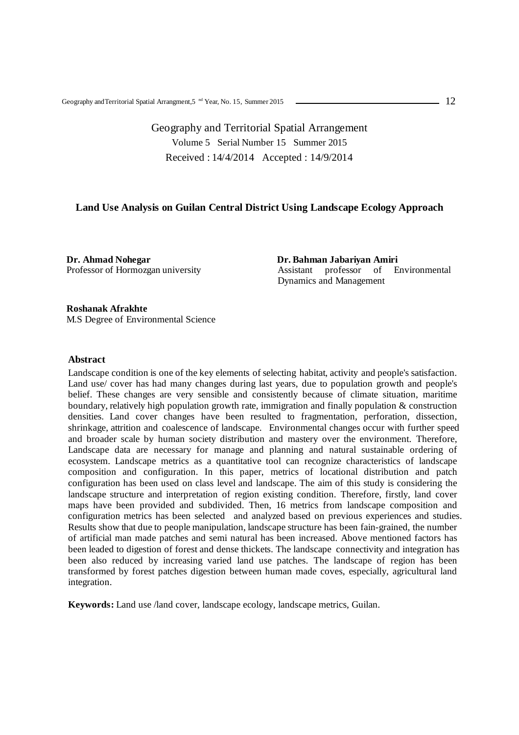## Geography and Territorial Spatial Arrangement Volume 5 Serial Number 15 Summer 2015 Received : 14/4/2014 Accepted : 14/9/2014

### **Land Use Analysis on Guilan Central District Using Landscape Ecology Approach**

**Dr. Ahmad Nohegar** Professor of Hormozgan university  **Dr. Bahman Jabariyan Amiri** Assistant professor of Environmental Dynamics and Management

#### **Roshanak Afrakhte**

M.S Degree of Environmental Science

### **Abstract**

Landscape condition is one of the key elements of selecting habitat, activity and people's satisfaction. Land use/ cover has had many changes during last years, due to population growth and people's belief. These changes are very sensible and consistently because of climate situation, maritime boundary, relatively high population growth rate, immigration and finally population & construction densities. Land cover changes have been resulted to fragmentation, perforation, dissection, shrinkage, attrition and coalescence of landscape. Environmental changes occur with further speed and broader scale by human society distribution and mastery over the environment. Therefore, Landscape data are necessary for manage and planning and natural sustainable ordering of ecosystem. Landscape metrics as a quantitative tool can recognize characteristics of landscape composition and configuration. In this paper, metrics of locational distribution and patch configuration has been used on class level and landscape. The aim of this study is considering the landscape structure and interpretation of region existing condition. Therefore, firstly, land cover maps have been provided and subdivided. Then, 16 metrics from landscape composition and configuration metrics has been selected and analyzed based on previous experiences and studies. Results show that due to people manipulation, landscape structure has been fain-grained, the number of artificial man made patches and semi natural has been increased. Above mentioned factors has been leaded to digestion of forest and dense thickets. The landscape connectivity and integration has been also reduced by increasing varied land use patches. The landscape of region has been transformed by forest patches digestion between human made coves, especially, agricultural land integration.

**Keywords:** Land use /land cover, landscape ecology, landscape metrics, Guilan.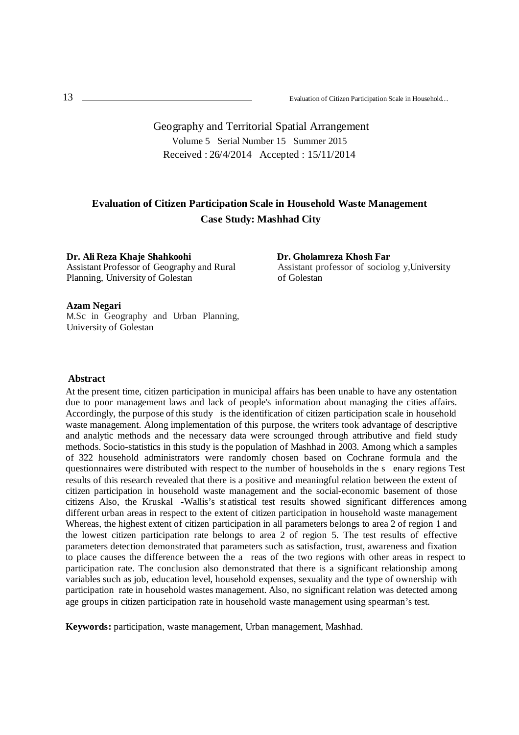Geography and Territorial Spatial Arrangement Volume 5 Serial Number 15 Summer 2015 Received : 26/4/2014 Accepted : 15/11/2014

## **Evaluation of Citizen Participation Scale in Household Waste Management Case Study: Mashhad City**

**Dr. Ali Reza Khaje Shahkoohi** Assistant Professor of Geography and Rural Planning, University of Golestan

 **Dr. Gholamreza Khosh Far** Assistant professor of sociolog y, University of Golestan

#### **Azam Negari**

<sup>M</sup>.Sc in Geography and Urban Planning, University of Golestan

### **Abstract**

At the present time, citizen participation in municipal affairs has been unable to have any ostentation due to poor management laws and lack of people's information about managing the cities affairs. Accordingly, the purpose of this study is the identification of citizen participation scale in household waste management. Along implementation of this purpose, the writers took advantage of descriptive and analytic methods and the necessary data were scrounged through attributive and field study methods. Socio-statistics in this study is the population of Mashhad in 2003. Among which a samples of 322 household administrators were randomly chosen based on Cochrane formula and the questionnaires were distributed with respect to the number of households in the s enary regions Test results of this research revealed that there is a positive and meaningful relation between the extent of citizen participation in household waste management and the social-economic basement of those citizens Also, the Kruskal -Wallis's st atistical test results showed significant differences among different urban areas in respect to the extent of citizen participation in household waste management Whereas, the highest extent of citizen participation in all parameters belongs to area 2 of region 1 and the lowest citizen participation rate belongs to area 2 of region 5. The test results of effective parameters detection demonstrated that parameters such as satisfaction, trust, awareness and fixation to place causes the difference between the a reas of the two regions with other areas in respect to participation rate. The conclusion also demonstrated that there is a significant relationship among variables such as job, education level, household expenses, sexuality and the type of ownership with participation rate in household wastes management. Also, no significant relation was detected among age groups in citizen participation rate in household waste management using spearman's test.

**Keywords:** participation, waste management, Urban management, Mashhad.